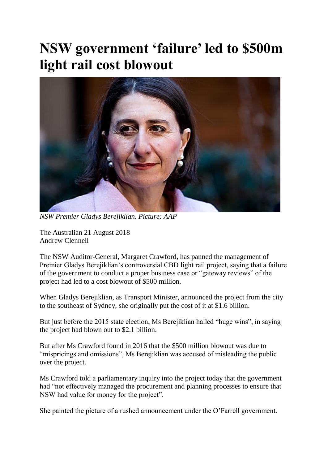## **NSW government 'failure' led to \$500m light rail cost blowout**



*NSW Premier Gladys Berejiklian. Picture: AAP*

The Australian 21 August 2018 Andrew Clennell

The NSW Auditor-General, Margaret Crawford, has panned the management of Premier Gladys Berejiklian's controversial CBD light rail project, saying that a failure of the government to conduct a proper business case or "gateway reviews" of the project had led to a cost blowout of \$500 million.

When Gladys Berejiklian, as Transport Minister, announced the project from the city to the southeast of Sydney, she originally put the cost of it at \$1.6 billion.

But just before the 2015 state election, Ms Berejiklian hailed "huge wins", in saying the project had blown out to \$2.1 billion.

But after Ms Crawford found in 2016 that the \$500 million blowout was due to "mispricings and omissions", Ms Berejiklian was accused of misleading the public over the project.

Ms Crawford told a parliamentary inquiry into the project today that the government had "not effectively managed the procurement and planning processes to ensure that NSW had value for money for the project".

She painted the picture of a rushed announcement under the O'Farrell government.